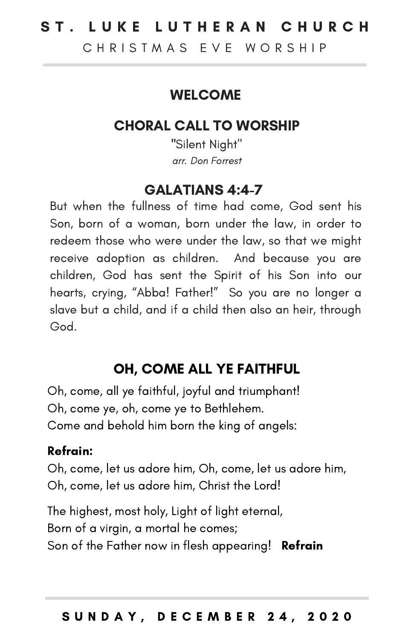# ST. LUKE LUTHERAN CHURCH

C H R I S T M A S F V F W O R S H I P

## **WELCOME**

## CHORAL CALL TO WORSHIP

"Silent Night" arr. Don Forrest

## GALATIANS 4:4-7

But when the fullness of time had come, God sent his Son, born of a woman, born under the law, in order to redeem those who were under the law, so that we might receive adoption as children. And because you are children, God has sent the Spirit of his Son into our hearts, crying, "Abba! Father!" So you are no longer a slave but a child, and if a child then also an heir, through God.

# OH, COME ALL YE FAITHFUL

Oh, come, all ye faithful, joyful and triumphant! Oh, come ye, oh, come ye to Bethlehem. Come and behold him born the king of angels:

#### Refrain:

Oh, come, let us adore him, Oh, come, let us adore him, Oh, come, let us adore him, Christ the Lord!

The highest, most holy, Light of light eternal, Born of a virgin, a mortal he comes; Son of the Father now in flesh appearing! Refrain

#### S U N D A Y , D E C E M B E R 2 4 , 2 0 2 0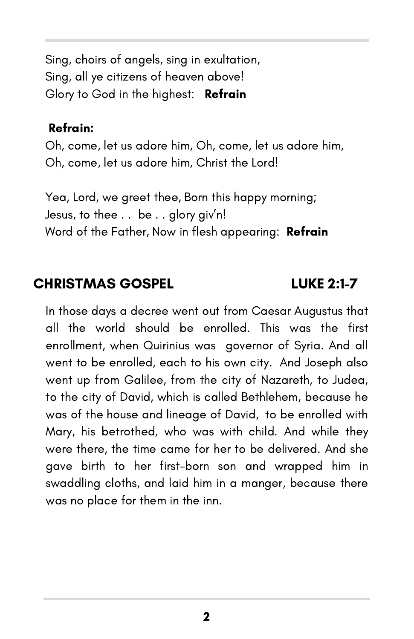Sing, choirs of angels, sing in exultation, Sing, all ye citizens of heaven above! Glory to God in the highest: Refrain

#### Refrain:

Oh, come, let us adore him, Oh, come, let us adore him, Oh, come, let us adore him, Christ the Lord!

Yea, Lord, we greet thee, Born this happy morning; Jesus, to thee . . be . . glory giv'n! Word of the Father, Now in flesh appearing: Refrain

## CHRISTMAS GOSPEL LUKE 2:1-7

In those days a decree went out from Caesar Augustus that all the world should be enrolled. This was the first enrollment, when Quirinius was governor of Syria. And all went to be enrolled, each to his own city. And Joseph also went up from Galilee, from the city of Nazareth, to Judea, to the city of David, which is called Bethlehem, because he was of the house and lineage of David, to be enrolled with Mary, his betrothed, who was with child. And while they were there, the time came for her to be delivered. And she gave birth to her first-born son and wrapped him in swaddling cloths, and laid him in a manger, because there was no place for them in the inn.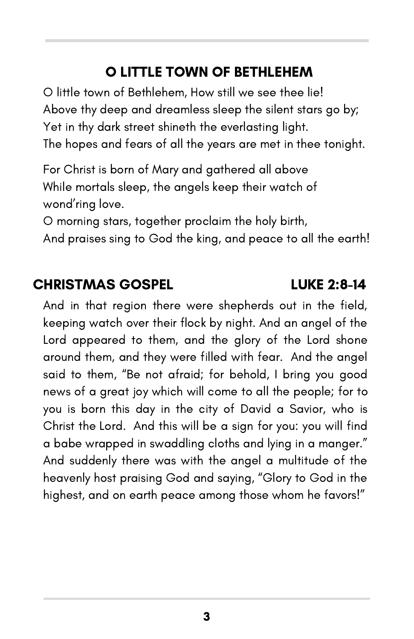# O LITTLE TOWN OF BETHLEHEM

O little town of Bethlehem, How still we see thee lie! Above thy deep and dreamless sleep the silent stars go by; Yet in thy dark street shineth the everlasting light. The hopes and fears of all the years are met in thee tonight.

For Christ is born of Mary and gathered all above While mortals sleep, the angels keep their watch of wond'ring love.

O morning stars, together proclaim the holy birth,

And praises sing to God the king, and peace to all the earth!

## CHRISTMAS GOSPEL LUKE 2:8-14

And in that region there were shepherds out in the field, keeping watch over their flock by night. And an angel of the Lord appeared to them, and the glory of the Lord shone around them, and they were filled with fear. And the angel said to them, "Be not afraid; for behold, I bring you good news of a great joy which will come to all the people; for to you is born this day in the city of David a Savior, who is Christ the Lord. And this will be a sign for you: you will find a babe wrapped in swaddling cloths and lying in a manger." And suddenly there was with the angel a multitude of the heavenly host praising God and saying, "Glory to God in the highest, and on earth peace among those whom he favors!"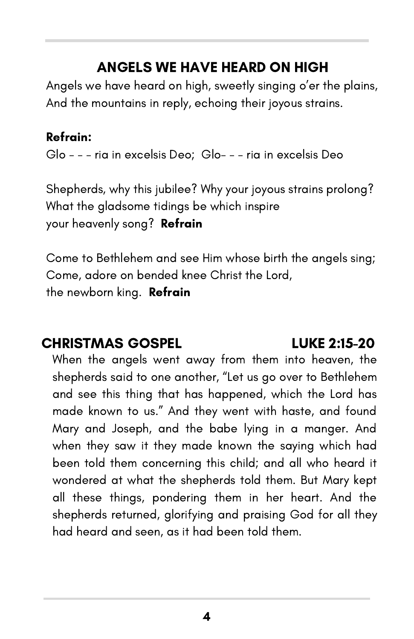# ANGELS WE HAVE HEARD ON HIGH

Angels we have heard on high, sweetly singing o'er the plains, And the mountains in reply, echoing their joyous strains.

## Refrain:

Glo - - - ria in excelsis Deo; Glo- - - ria in excelsis Deo

Shepherds, why this jubilee? Why your joyous strains prolong? What the gladsome tidings be which inspire your heavenly song? **Refrain** 

Come to Bethlehem and see Him whose birth the angels sing; Come, adore on bended knee Christ the Lord, the newborn king. **Refrain** 

# CHRISTMAS GOSPEL LUKE 2:15-20

When the angels went away from them into heaven, the shepherds said to one another, "Let us go over to Bethlehem and see this thing that has happened, which the Lord has made known to us." And they went with haste, and found Mary and Joseph, and the babe lying in a manger. And when they saw it they made known the saying which had been told them concerning this child; and all who heard it wondered at what the shepherds told them. But Mary kept all these things, pondering them in her heart. And the shepherds returned, glorifying and praising God for all they had heard and seen, as it had been told them.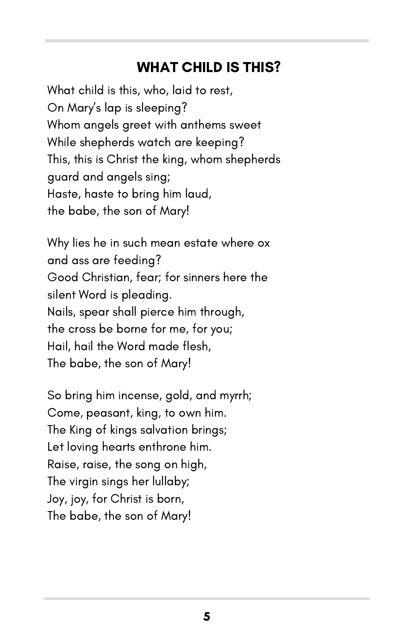## WHAT CHILD IS THIS?

What child is this, who, laid to rest, On Mary's lap is sleeping? Whom angels greet with anthems sweet While shepherds watch are keeping? This, this is Christ the king, whom shepherds guard and angels sing; Haste, haste to bring him laud, the babe, the son of Mary!

Why lies he in such mean estate where ox and ass are feeding? Good Christian, fear; for sinners here the silent Word is pleading. Nails, spear shall pierce him through, the cross be borne for me, for you; Hail, hail the Word made flesh, The babe, the son of Mary!

So bring him incense, gold, and myrrh; Come, peasant, king, to own him. The King of kings salvation brings; Let loving hearts enthrone him. Raise, raise, the song on high, The virgin sings her lullaby; Joy, joy, for Christ is born, The babe, the son of Mary!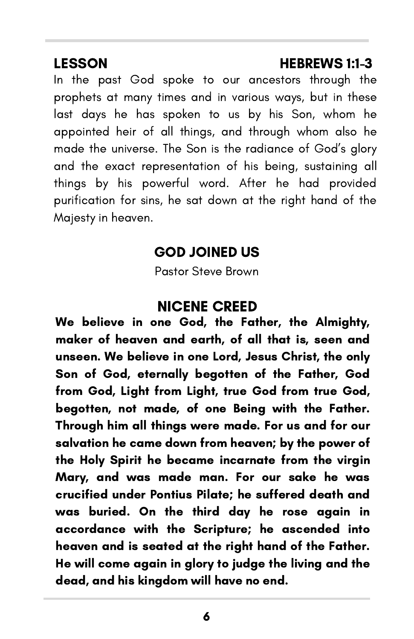### LESSON HEBREWS 1:1-3

In the past God spoke to our ancestors through the prophets at many times and in various ways, but in these last days he has spoken to us by his Son, whom he appointed heir of all things, and through whom also he made the universe. The Son is the radiance of God's glory and the exact representation of his being, sustaining all things by his powerful word. After he had provided purification for sins, he sat down at the right hand of the Majesty in heaven.

## GOD JOINED US

Pastor Steve Brown

## NICENE CREED

We believe in one God, the Father, the Almighty, maker of heaven and earth, of all that is, seen and unseen. We believe in one Lord, Jesus Christ, the only Son of God, eternally begotten of the Father, God from God, Light from Light, true God from true God, begotten, not made, of one Being with the Father. Through him all things were made. For us and for our salvation he came down from heaven; by the power of the Holy Spirit he became incarnate from the virgin Mary, and was made man. For our sake he was crucified under Pontius Pilate; he suffered death and was buried. On the third day he rose again in accordance with the Scripture; he ascended into heaven and is seated at the right hand of the Father. He will come again in glory to judge the living and the dead, and his kingdom will have no end.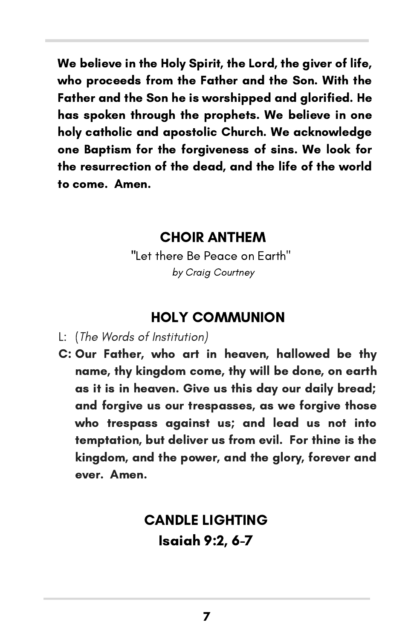We believe in the Holy Spirit, the Lord, the giver of life, who proceeds from the Father and the Son. With the Father and the Son he is worshipped and glorified. He has spoken through the prophets. We believe in one holy catholic and apostolic Church. We acknowledge one Baptism for the forgiveness of sins. We look for the resurrection of the dead, and the life of the world to come. Amen.

### CHOIR ANTHEM

"Let there Be Peace on Earth" by Craig Courtney

## HOLY COMMUNION

- L: (The Words of Institution)
- C: Our Father, who art in heaven, hallowed be thy name, thy kingdom come, thy will be done, on earth as it is in heaven. Give us this day our daily bread; and forgive us our trespasses, as we forgive those who trespass against us; and lead us not into temptation, but deliver us from evil. For thine is the kingdom, and the power, and the glory, forever and ever. Amen.

# CANDLE LIGHTING Isaiah 9:2, 6-7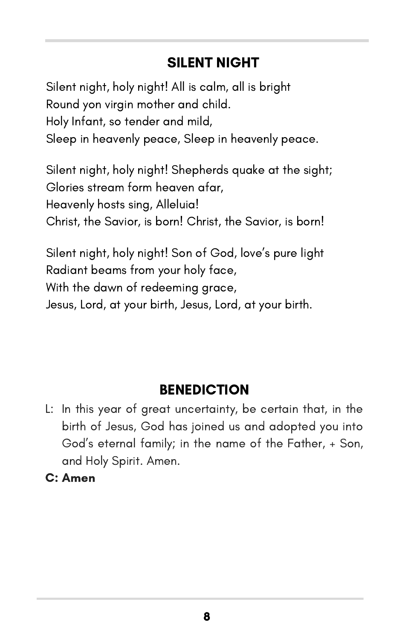# SILENT NIGHT

Silent night, holy night! All is calm, all is bright Round yon virgin mother and child. Holy Infant, so tender and mild, Sleep in heavenly peace, Sleep in heavenly peace.

Silent night, holy night! Shepherds quake at the sight; Glories stream form heaven afar, Heavenly hosts sing, Alleluia! Christ, the Savior, is born! Christ, the Savior, is born!

Silent night, holy night! Son of God, love's pure light Radiant beams from your holy face, With the dawn of redeeming grace, Jesus, Lord, at your birth, Jesus, Lord, at your birth.

# **BENEDICTION**

- L: In this year of great uncertainty, be certain that, in the birth of Jesus, God has joined us and adopted you into God's eternal family; in the name of the Father, + Son, and Holy Spirit. Amen.
- C: Amen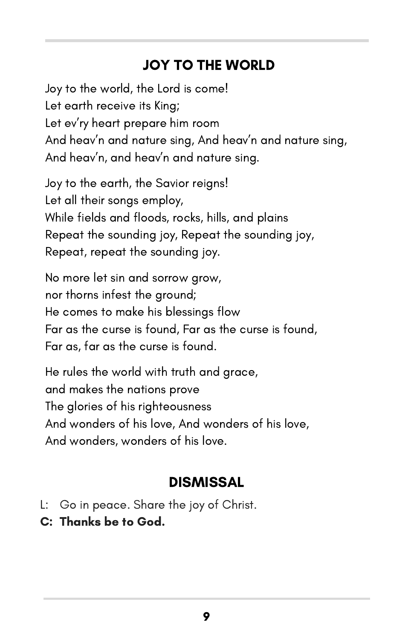# JOY TO THE WORLD

Joy to the world, the Lord is come! Let earth receive its King; Let ev'ry heart prepare him room And heav'n and nature sing, And heav'n and nature sing, And heav'n, and heav'n and nature sing.

Joy to the earth, the Savior reigns! Let all their songs employ, While fields and floods, rocks, hills, and plains Repeat the sounding joy, Repeat the sounding joy, Repeat, repeat the sounding joy.

No more let sin and sorrow grow, nor thorns infest the ground; He comes to make his blessings flow Far as the curse is found, Far as the curse is found, Far as, far as the curse is found.

He rules the world with truth and grace, and makes the nations prove The glories of his righteousness And wonders of his love, And wonders of his love, And wonders, wonders of his love.

# **DISMISSAL**

- L: Go in peace. Share the joy of Christ.
- C: Thanks be to God.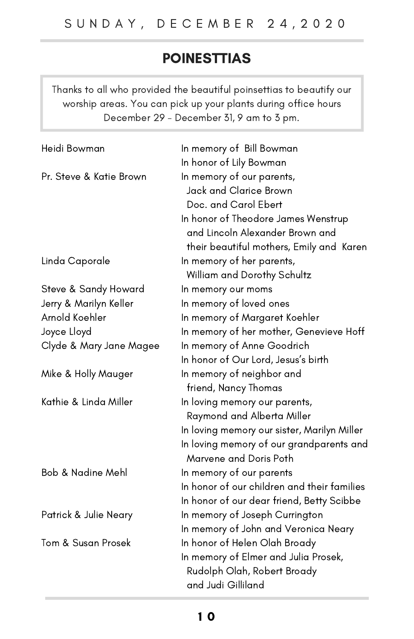# POINESTTIAS

Thanks to all who provided the beautiful poinsettias to beautify our worship areas. You can pick up your plants during office hours December 29 - December 31, 9 am to 3 pm.

| Heidi Bowman            | In memory of Bill Bowman                    |
|-------------------------|---------------------------------------------|
|                         | In honor of Lily Bowman                     |
| Pr. Steve & Katie Brown | In memory of our parents,                   |
|                         | Jack and Clarice Brown                      |
|                         | Doc. and Carol Ebert                        |
|                         | In honor of Theodore James Wenstrup         |
|                         | and Lincoln Alexander Brown and             |
|                         | their beautiful mothers, Emily and Karen    |
| Linda Caporale          | In memory of her parents,                   |
|                         | William and Dorothy Schultz                 |
| Steve & Sandy Howard    | In memory our moms                          |
| Jerry & Marilyn Keller  | In memory of loved ones                     |
| Arnold Koehler          | In memory of Margaret Koehler               |
| Joyce Lloyd             | In memory of her mother, Genevieve Hoff     |
| Clyde & Mary Jane Magee | In memory of Anne Goodrich                  |
|                         | In honor of Our Lord, Jesus's birth         |
| Mike & Holly Mauger     | In memory of neighbor and                   |
|                         | friend, Nancy Thomas                        |
| Kathie & Linda Miller   | In loving memory our parents,               |
|                         | Raymond and Alberta Miller                  |
|                         | In loving memory our sister, Marilyn Miller |
|                         | In loving memory of our grandparents and    |
|                         | Marvene and Doris Poth                      |
| Bob & Nadine Mehl       | In memory of our parents                    |
|                         | In honor of our children and their families |
|                         | In honor of our dear friend, Betty Scibbe   |
| Patrick & Julie Neary   | In memory of Joseph Currington              |
|                         | In memory of John and Veronica Neary        |
| Tom & Susan Prosek      | In honor of Helen Olah Broady               |
|                         | In memory of Elmer and Julia Prosek,        |
|                         | Rudolph Olah, Robert Broady                 |
|                         | and Judi Gilliland                          |
|                         |                                             |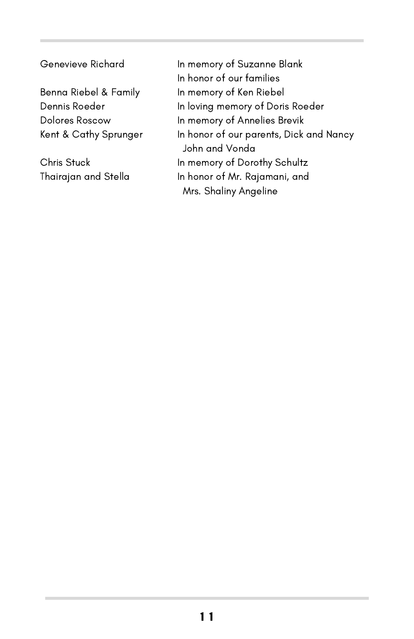Genevieve Richard

Benna Riebel & Family Dennis Roeder Dolores Roscow Kent & Cathy Sprunger

Chris Stuck Thairajan and Stella In memory of Suzanne Blank In honor of our families In memory of Ken Riebel In loving memory of Doris Roeder In memory of Annelies Brevik In honor of our parents, Dick and Nancy John and Vonda In memory of Dorothy Schultz In honor of Mr. Rajamani, and Mrs. Shaliny Angeline